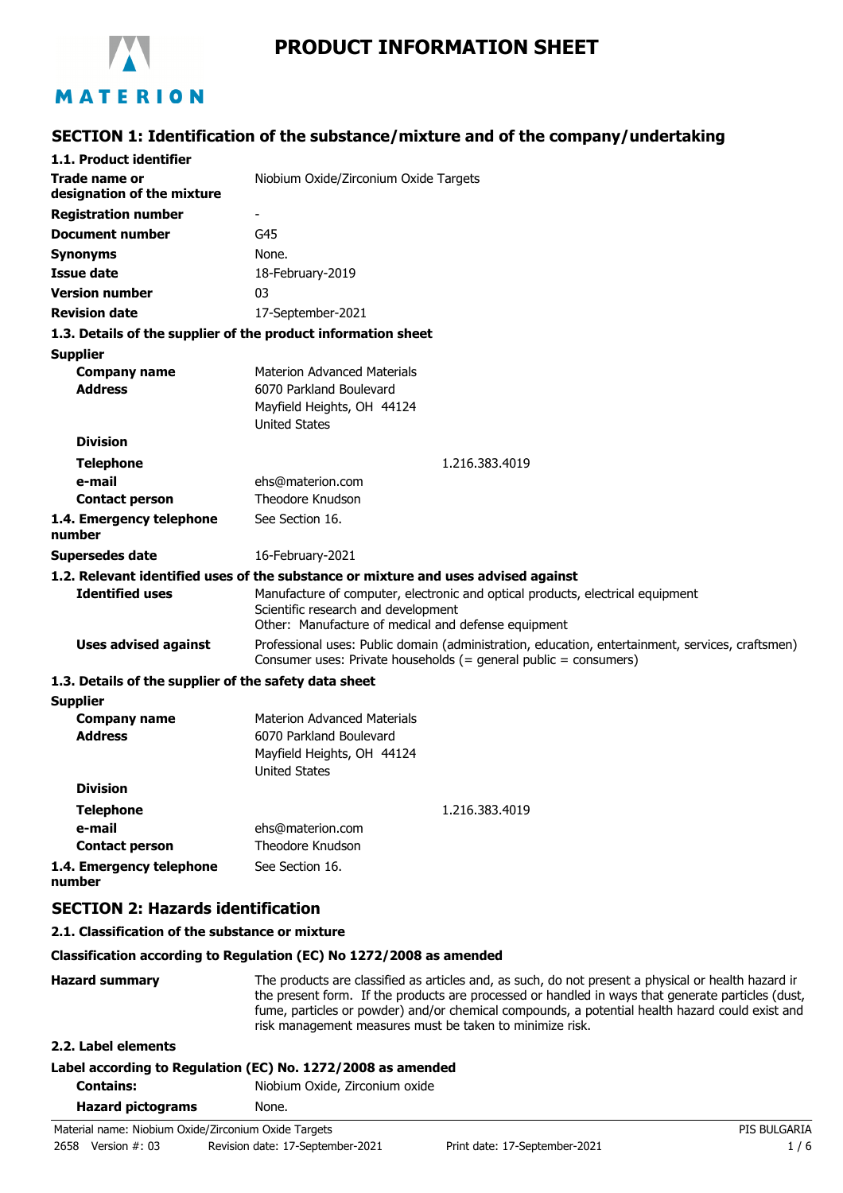

# **PRODUCT INFORMATION SHEET**

# **SECTION 1: Identification of the substance/mixture and of the company/undertaking**

| 1.1. Product identifier                               |                                                                                                                                                                              |
|-------------------------------------------------------|------------------------------------------------------------------------------------------------------------------------------------------------------------------------------|
| <b>Trade name or</b><br>designation of the mixture    | Niobium Oxide/Zirconium Oxide Targets                                                                                                                                        |
| <b>Registration number</b>                            | $\overline{\phantom{0}}$                                                                                                                                                     |
| <b>Document number</b>                                | G45                                                                                                                                                                          |
| <b>Synonyms</b>                                       | None.                                                                                                                                                                        |
| <b>Issue date</b>                                     | 18-February-2019                                                                                                                                                             |
| <b>Version number</b>                                 | 03                                                                                                                                                                           |
| <b>Revision date</b>                                  | 17-September-2021                                                                                                                                                            |
|                                                       | 1.3. Details of the supplier of the product information sheet                                                                                                                |
| <b>Supplier</b>                                       |                                                                                                                                                                              |
| <b>Company name</b>                                   | <b>Materion Advanced Materials</b>                                                                                                                                           |
| <b>Address</b>                                        | 6070 Parkland Boulevard                                                                                                                                                      |
|                                                       | Mayfield Heights, OH 44124                                                                                                                                                   |
|                                                       | <b>United States</b>                                                                                                                                                         |
| <b>Division</b>                                       |                                                                                                                                                                              |
| <b>Telephone</b>                                      | 1.216.383.4019                                                                                                                                                               |
| e-mail<br><b>Contact person</b>                       | ehs@materion.com<br>Theodore Knudson                                                                                                                                         |
|                                                       | See Section 16.                                                                                                                                                              |
| 1.4. Emergency telephone<br>number                    |                                                                                                                                                                              |
| <b>Supersedes date</b>                                | 16-February-2021                                                                                                                                                             |
|                                                       | 1.2. Relevant identified uses of the substance or mixture and uses advised against                                                                                           |
| <b>Identified uses</b>                                | Manufacture of computer, electronic and optical products, electrical equipment<br>Scientific research and development<br>Other: Manufacture of medical and defense equipment |
| <b>Uses advised against</b>                           | Professional uses: Public domain (administration, education, entertainment, services, craftsmen)<br>Consumer uses: Private households (= general public = consumers)         |
| 1.3. Details of the supplier of the safety data sheet |                                                                                                                                                                              |
| <b>Supplier</b>                                       |                                                                                                                                                                              |
| <b>Company name</b>                                   | <b>Materion Advanced Materials</b>                                                                                                                                           |
| <b>Address</b>                                        | 6070 Parkland Boulevard                                                                                                                                                      |
|                                                       | Mayfield Heights, OH 44124                                                                                                                                                   |
|                                                       | <b>United States</b>                                                                                                                                                         |
| <b>Division</b>                                       |                                                                                                                                                                              |
| <b>Telephone</b>                                      | 1.216.383.4019                                                                                                                                                               |
| e-mail                                                | ehs@materion.com<br>Theodore Knudson                                                                                                                                         |
| <b>Contact person</b>                                 |                                                                                                                                                                              |
| 1.4. Emergency telephone<br>number                    | See Section 16.                                                                                                                                                              |
| <b>SECTION 2: Hazards identification</b>              |                                                                                                                                                                              |
|                                                       |                                                                                                                                                                              |

#### **2.1. Classification of the substance or mixture**

#### **Classification according to Regulation (EC) No 1272/2008 as amended**

Hazard summary The products are classified as articles and, as such, do not present a physical or health hazard in the present form. If the products are processed or handled in ways that generate particles (dust, fume, particles or powder) and/or chemical compounds, a potential health hazard could exist and risk management measures must be taken to minimize risk.

### **2.2. Label elements**

# **Label according to Regulation (EC) No. 1272/2008 as amended**

**Contains:** Niobium Oxide, Zirconium oxide

| <b>Hazard pictograms</b> | None. |
|--------------------------|-------|
|                          |       |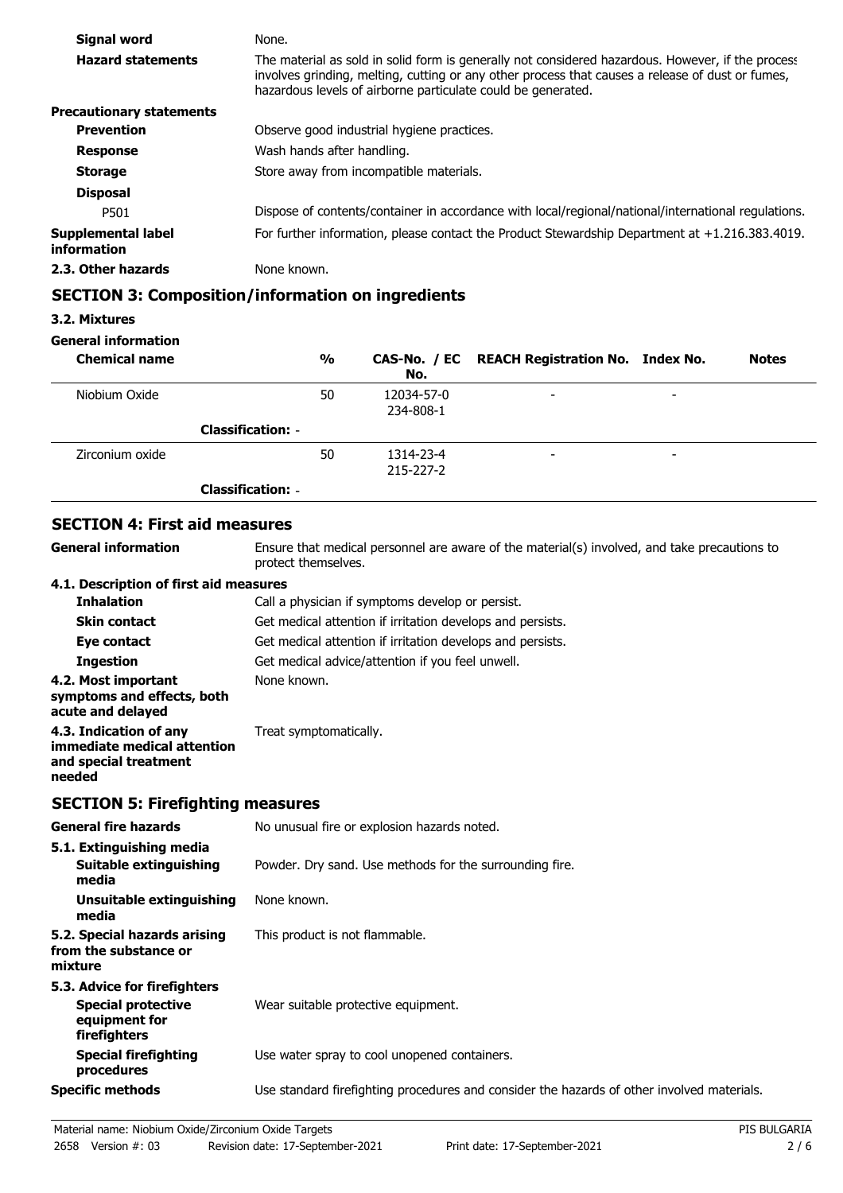| Signal word                       | None.                                                                                                                                                                                                                                                                 |
|-----------------------------------|-----------------------------------------------------------------------------------------------------------------------------------------------------------------------------------------------------------------------------------------------------------------------|
| <b>Hazard statements</b>          | The material as sold in solid form is generally not considered hazardous. However, if the process<br>involves grinding, melting, cutting or any other process that causes a release of dust or fumes,<br>hazardous levels of airborne particulate could be generated. |
| <b>Precautionary statements</b>   |                                                                                                                                                                                                                                                                       |
| <b>Prevention</b>                 | Observe good industrial hygiene practices.                                                                                                                                                                                                                            |
| <b>Response</b>                   | Wash hands after handling.                                                                                                                                                                                                                                            |
| <b>Storage</b>                    | Store away from incompatible materials.                                                                                                                                                                                                                               |
| <b>Disposal</b>                   |                                                                                                                                                                                                                                                                       |
| P501                              | Dispose of contents/container in accordance with local/regional/national/international regulations.                                                                                                                                                                   |
| Supplemental label<br>information | For further information, please contact the Product Stewardship Department at $+1.216.383.4019$ .                                                                                                                                                                     |
| 2.3. Other hazards                | None known.                                                                                                                                                                                                                                                           |

## **SECTION 3: Composition/information on ingredients**

### **3.2. Mixtures**

### **General information**

| <b>Chemical name</b> |                          | $\frac{0}{0}$ | No.                          | CAS-No. / EC REACH Registration No. Index No. |                          | <b>Notes</b> |
|----------------------|--------------------------|---------------|------------------------------|-----------------------------------------------|--------------------------|--------------|
| Niobium Oxide        |                          | 50            | 12034-57-0<br>234-808-1      | $\overline{\phantom{a}}$                      | $\overline{\phantom{a}}$ |              |
|                      | <b>Classification: -</b> |               |                              |                                               |                          |              |
| Zirconium oxide      |                          | 50            | 1314-23-4<br>$215 - 227 - 2$ | $\overline{\phantom{a}}$                      | $\overline{\phantom{0}}$ |              |
|                      | <b>Classification: -</b> |               |                              |                                               |                          |              |

# **SECTION 4: First aid measures**

**General information**

Ensure that medical personnel are aware of the material(s) involved, and take precautions to protect themselves.

### **4.1. Description of first aid measures**

| <b>Inhalation</b>                                                                        | Call a physician if symptoms develop or persist.           |
|------------------------------------------------------------------------------------------|------------------------------------------------------------|
| <b>Skin contact</b>                                                                      | Get medical attention if irritation develops and persists. |
| Eye contact                                                                              | Get medical attention if irritation develops and persists. |
| <b>Ingestion</b>                                                                         | Get medical advice/attention if you feel unwell.           |
| 4.2. Most important<br>symptoms and effects, both<br>acute and delayed                   | None known.                                                |
| 4.3. Indication of any<br>immediate medical attention<br>and special treatment<br>needed | Treat symptomatically.                                     |

# **SECTION 5: Firefighting measures**

| <b>General fire hazards</b>                                                                | No unusual fire or explosion hazards noted.                                                |
|--------------------------------------------------------------------------------------------|--------------------------------------------------------------------------------------------|
| 5.1. Extinguishing media<br>Suitable extinguishing<br>media                                | Powder. Dry sand. Use methods for the surrounding fire.                                    |
| Unsuitable extinguishing<br>media                                                          | None known.                                                                                |
| 5.2. Special hazards arising<br>from the substance or<br>mixture                           | This product is not flammable.                                                             |
| 5.3. Advice for firefighters<br><b>Special protective</b><br>equipment for<br>firefighters | Wear suitable protective equipment.                                                        |
| <b>Special firefighting</b><br>procedures                                                  | Use water spray to cool unopened containers.                                               |
| <b>Specific methods</b>                                                                    | Use standard firefighting procedures and consider the hazards of other involved materials. |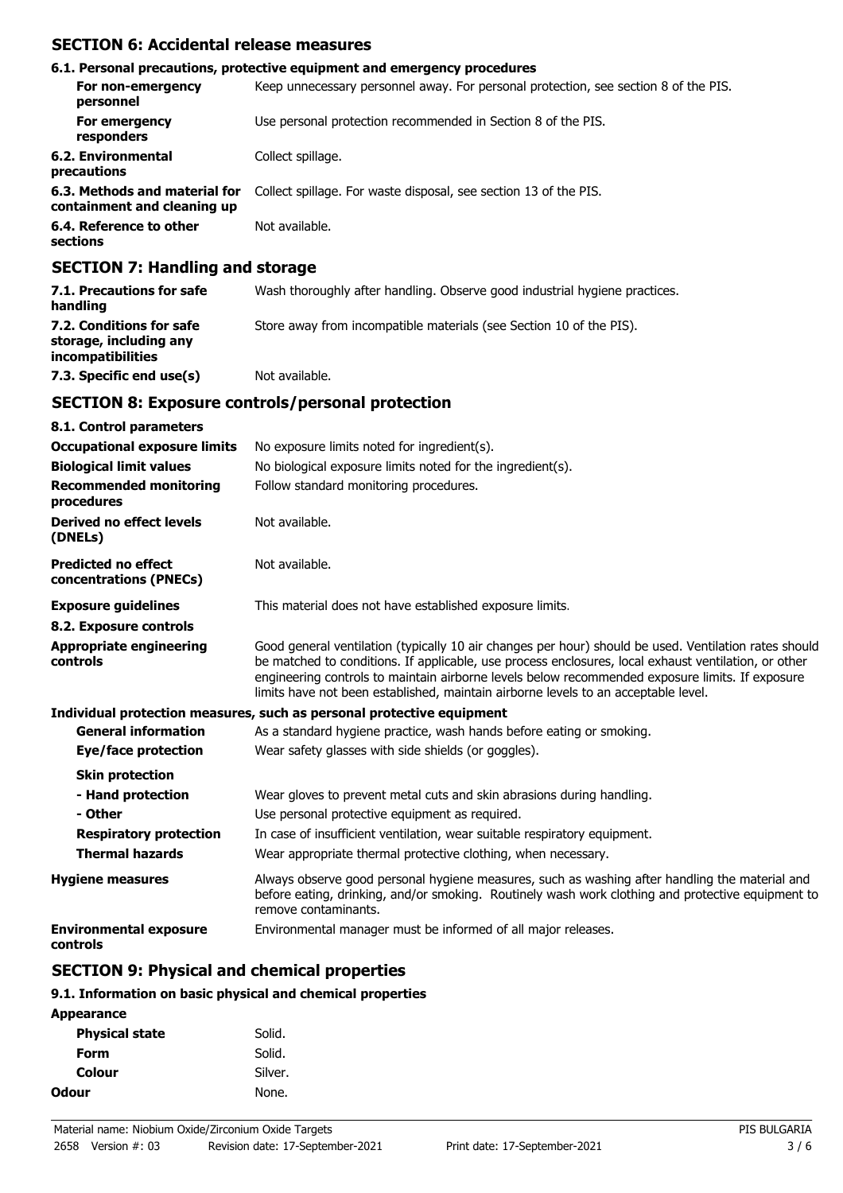### **SECTION 6: Accidental release measures**

|                                                              | 6.1. Personal precautions, protective equipment and emergency procedures            |
|--------------------------------------------------------------|-------------------------------------------------------------------------------------|
| For non-emergency<br>personnel                               | Keep unnecessary personnel away. For personal protection, see section 8 of the PIS. |
| For emergency<br>responders                                  | Use personal protection recommended in Section 8 of the PIS.                        |
| 6.2. Environmental<br>precautions                            | Collect spillage.                                                                   |
| 6.3. Methods and material for<br>containment and cleaning up | Collect spillage. For waste disposal, see section 13 of the PIS.                    |
| 6.4. Reference to other<br>sections                          | Not available.                                                                      |

# **SECTION 7: Handling and storage**

| 7.1. Precautions for safe<br>handling                                   | Wash thoroughly after handling. Observe good industrial hygiene practices. |
|-------------------------------------------------------------------------|----------------------------------------------------------------------------|
| 7.2. Conditions for safe<br>storage, including any<br>incompatibilities | Store away from incompatible materials (see Section 10 of the PIS).        |
| 7.3. Specific end use(s)                                                | Not available.                                                             |

## **SECTION 8: Exposure controls/personal protection**

| 8.1. Control parameters                              |                                                                                                                                                                                                                                                                                                                                                                                                        |
|------------------------------------------------------|--------------------------------------------------------------------------------------------------------------------------------------------------------------------------------------------------------------------------------------------------------------------------------------------------------------------------------------------------------------------------------------------------------|
| <b>Occupational exposure limits</b>                  | No exposure limits noted for ingredient(s).                                                                                                                                                                                                                                                                                                                                                            |
| <b>Biological limit values</b>                       | No biological exposure limits noted for the ingredient(s).                                                                                                                                                                                                                                                                                                                                             |
| <b>Recommended monitoring</b><br>procedures          | Follow standard monitoring procedures.                                                                                                                                                                                                                                                                                                                                                                 |
| Derived no effect levels<br>(DNELs)                  | Not available.                                                                                                                                                                                                                                                                                                                                                                                         |
| <b>Predicted no effect</b><br>concentrations (PNECs) | Not available.                                                                                                                                                                                                                                                                                                                                                                                         |
| <b>Exposure guidelines</b>                           | This material does not have established exposure limits.                                                                                                                                                                                                                                                                                                                                               |
| 8.2. Exposure controls                               |                                                                                                                                                                                                                                                                                                                                                                                                        |
| <b>Appropriate engineering</b><br>controls           | Good general ventilation (typically 10 air changes per hour) should be used. Ventilation rates should<br>be matched to conditions. If applicable, use process enclosures, local exhaust ventilation, or other<br>engineering controls to maintain airborne levels below recommended exposure limits. If exposure<br>limits have not been established, maintain airborne levels to an acceptable level. |
|                                                      | Individual protection measures, such as personal protective equipment                                                                                                                                                                                                                                                                                                                                  |
| <b>General information</b>                           | As a standard hygiene practice, wash hands before eating or smoking.                                                                                                                                                                                                                                                                                                                                   |
| Eye/face protection                                  | Wear safety glasses with side shields (or goggles).                                                                                                                                                                                                                                                                                                                                                    |
| <b>Skin protection</b>                               |                                                                                                                                                                                                                                                                                                                                                                                                        |
| - Hand protection                                    | Wear gloves to prevent metal cuts and skin abrasions during handling.                                                                                                                                                                                                                                                                                                                                  |
| - Other                                              | Use personal protective equipment as required.                                                                                                                                                                                                                                                                                                                                                         |
| <b>Respiratory protection</b>                        | In case of insufficient ventilation, wear suitable respiratory equipment.                                                                                                                                                                                                                                                                                                                              |
| <b>Thermal hazards</b>                               | Wear appropriate thermal protective clothing, when necessary.                                                                                                                                                                                                                                                                                                                                          |
| <b>Hygiene measures</b>                              | Always observe good personal hygiene measures, such as washing after handling the material and<br>before eating, drinking, and/or smoking. Routinely wash work clothing and protective equipment to<br>remove contaminants.                                                                                                                                                                            |
| <b>Environmental exposure</b><br>controls            | Environmental manager must be informed of all major releases.                                                                                                                                                                                                                                                                                                                                          |

# **SECTION 9: Physical and chemical properties**

### **9.1. Information on basic physical and chemical properties**

| Solid.  |
|---------|
| Solid.  |
| Silver. |
| None.   |
|         |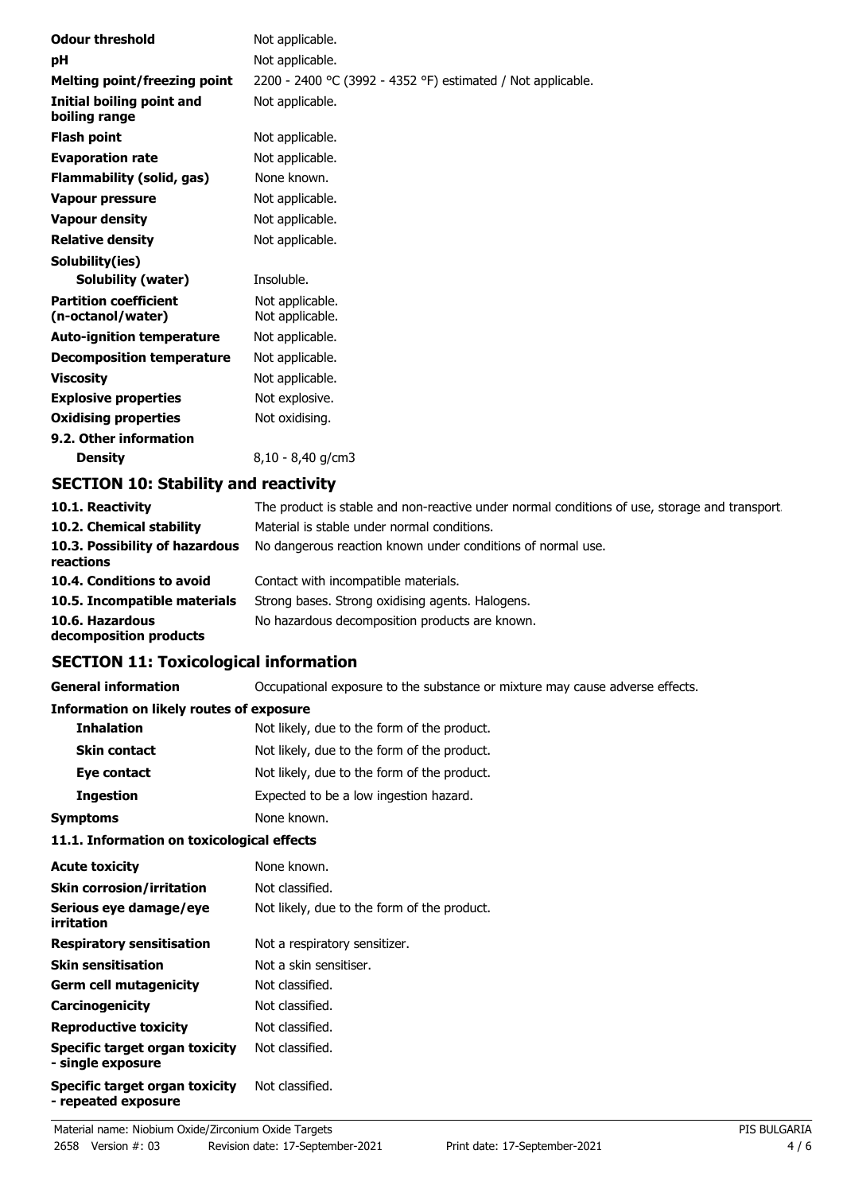| <b>Odour threshold</b>                            | Not applicable.                                             |
|---------------------------------------------------|-------------------------------------------------------------|
| рH                                                | Not applicable.                                             |
| Melting point/freezing point                      | 2200 - 2400 °C (3992 - 4352 °F) estimated / Not applicable. |
| Initial boiling point and<br>boiling range        | Not applicable.                                             |
| <b>Flash point</b>                                | Not applicable.                                             |
| <b>Evaporation rate</b>                           | Not applicable.                                             |
| Flammability (solid, gas)                         | None known.                                                 |
| <b>Vapour pressure</b>                            | Not applicable.                                             |
| <b>Vapour density</b>                             | Not applicable.                                             |
| <b>Relative density</b>                           | Not applicable.                                             |
| Solubility(ies)                                   |                                                             |
| <b>Solubility (water)</b>                         | Insoluble.                                                  |
| <b>Partition coefficient</b><br>(n-octanol/water) | Not applicable.<br>Not applicable.                          |
| <b>Auto-ignition temperature</b>                  | Not applicable.                                             |
| <b>Decomposition temperature</b>                  | Not applicable.                                             |
| <b>Viscosity</b>                                  | Not applicable.                                             |
| <b>Explosive properties</b>                       | Not explosive.                                              |
| <b>Oxidising properties</b>                       | Not oxidising.                                              |
| 9.2. Other information                            |                                                             |
| <b>Density</b>                                    | 8,10 - 8,40 g/cm3                                           |
| SPATTAN JA, AL, L'III, , J. ,                     |                                                             |

## **SECTION 10: Stability and reactivity**

| 10.1. Reactivity                            | The product is stable and non-reactive under normal conditions of use, storage and transport. |
|---------------------------------------------|-----------------------------------------------------------------------------------------------|
| 10.2. Chemical stability                    | Material is stable under normal conditions.                                                   |
| 10.3. Possibility of hazardous<br>reactions | No dangerous reaction known under conditions of normal use.                                   |
| 10.4. Conditions to avoid                   | Contact with incompatible materials.                                                          |
| 10.5. Incompatible materials                | Strong bases. Strong oxidising agents. Halogens.                                              |
| 10.6. Hazardous<br>decomposition products   | No hazardous decomposition products are known.                                                |

## **SECTION 11: Toxicological information**

**General information CCCUPATION** Occupational exposure to the substance or mixture may cause adverse effects.

#### **Information on likely routes of exposure**

| <b>Inhalation</b>   | Not likely, due to the form of the product. |
|---------------------|---------------------------------------------|
| <b>Skin contact</b> | Not likely, due to the form of the product. |
| Eye contact         | Not likely, due to the form of the product. |
| <b>Ingestion</b>    | Expected to be a low ingestion hazard.      |
| <b>Symptoms</b>     | None known.                                 |

### **11.1. Information on toxicological effects**

| <b>Acute toxicity</b>                                 | None known.                                 |
|-------------------------------------------------------|---------------------------------------------|
| <b>Skin corrosion/irritation</b>                      | Not classified.                             |
| Serious eye damage/eye<br>irritation                  | Not likely, due to the form of the product. |
| <b>Respiratory sensitisation</b>                      | Not a respiratory sensitizer.               |
| <b>Skin sensitisation</b>                             | Not a skin sensitiser.                      |
| <b>Germ cell mutagenicity</b>                         | Not classified.                             |
| Carcinogenicity                                       | Not classified.                             |
| <b>Reproductive toxicity</b>                          | Not classified.                             |
| Specific target organ toxicity<br>- single exposure   | Not classified.                             |
| Specific target organ toxicity<br>- repeated exposure | Not classified.                             |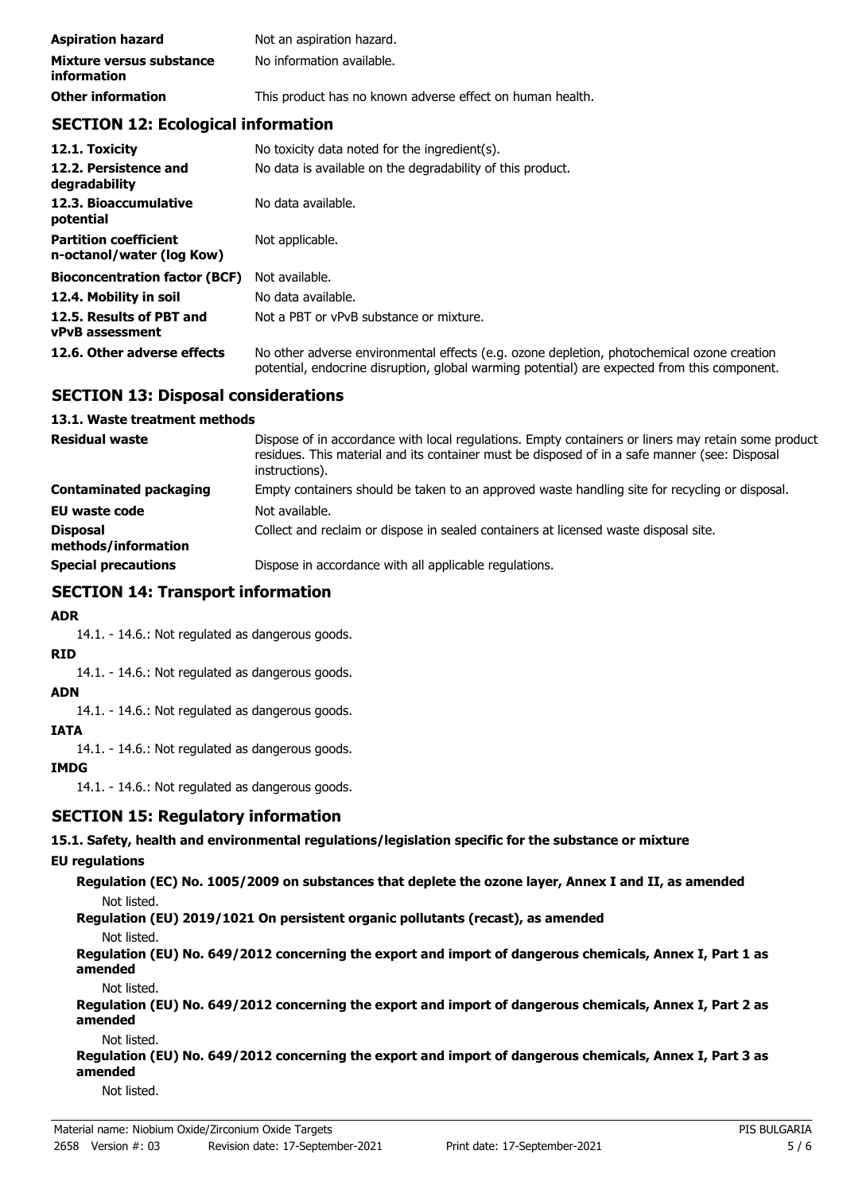| <b>Aspiration hazard</b>                       | Not an aspiration hazard.                                 |
|------------------------------------------------|-----------------------------------------------------------|
| Mixture versus substance<br><i>information</i> | No information available.                                 |
| <b>Other information</b>                       | This product has no known adverse effect on human health. |

# **SECTION 12: Ecological information**

| 12.1. Toxicity                                            | No toxicity data noted for the ingredient(s).                                                                                                                                              |
|-----------------------------------------------------------|--------------------------------------------------------------------------------------------------------------------------------------------------------------------------------------------|
| 12.2. Persistence and<br>degradability                    | No data is available on the degradability of this product.                                                                                                                                 |
| 12.3. Bioaccumulative<br>potential                        | No data available.                                                                                                                                                                         |
| <b>Partition coefficient</b><br>n-octanol/water (log Kow) | Not applicable.                                                                                                                                                                            |
| <b>Bioconcentration factor (BCF)</b>                      | Not available.                                                                                                                                                                             |
| 12.4. Mobility in soil                                    | No data available.                                                                                                                                                                         |
| 12.5. Results of PBT and<br><b>vPvB</b> assessment        | Not a PBT or vPvB substance or mixture.                                                                                                                                                    |
| 12.6. Other adverse effects                               | No other adverse environmental effects (e.g. ozone depletion, photochemical ozone creation<br>potential, endocrine disruption, global warming potential) are expected from this component. |

### **SECTION 13: Disposal considerations**

#### **13.1. Waste treatment methods**

| <b>Residual waste</b>                  | Dispose of in accordance with local regulations. Empty containers or liners may retain some product<br>residues. This material and its container must be disposed of in a safe manner (see: Disposal<br>instructions). |
|----------------------------------------|------------------------------------------------------------------------------------------------------------------------------------------------------------------------------------------------------------------------|
| Contaminated packaging                 | Empty containers should be taken to an approved waste handling site for recycling or disposal.                                                                                                                         |
| <b>EU waste code</b>                   | Not available.                                                                                                                                                                                                         |
| <b>Disposal</b><br>methods/information | Collect and reclaim or dispose in sealed containers at licensed waste disposal site.                                                                                                                                   |
| <b>Special precautions</b>             | Dispose in accordance with all applicable regulations.                                                                                                                                                                 |

# **SECTION 14: Transport information**

### **ADR**

14.1. - 14.6.: Not regulated as dangerous goods.

#### **RID**

14.1. - 14.6.: Not regulated as dangerous goods.

# **ADN**

14.1. - 14.6.: Not regulated as dangerous goods.

#### **IATA**

14.1. - 14.6.: Not regulated as dangerous goods.

#### **IMDG**

14.1. - 14.6.: Not regulated as dangerous goods.

### **SECTION 15: Regulatory information**

**15.1. Safety, health and environmental regulations/legislation specific for the substance or mixture**

### **EU regulations**

**Regulation (EC) No. 1005/2009 on substances that deplete the ozone layer, Annex I and II, as amended** Not listed.

**Regulation (EU) 2019/1021 On persistent organic pollutants (recast), as amended**

#### Not listed.

**Regulation (EU) No. 649/2012 concerning the export and import of dangerous chemicals, Annex I, Part 1 as amended**

Not listed.

**Regulation (EU) No. 649/2012 concerning the export and import of dangerous chemicals, Annex I, Part 2 as amended**

#### Not listed.

**Regulation (EU) No. 649/2012 concerning the export and import of dangerous chemicals, Annex I, Part 3 as amended**

Not listed.